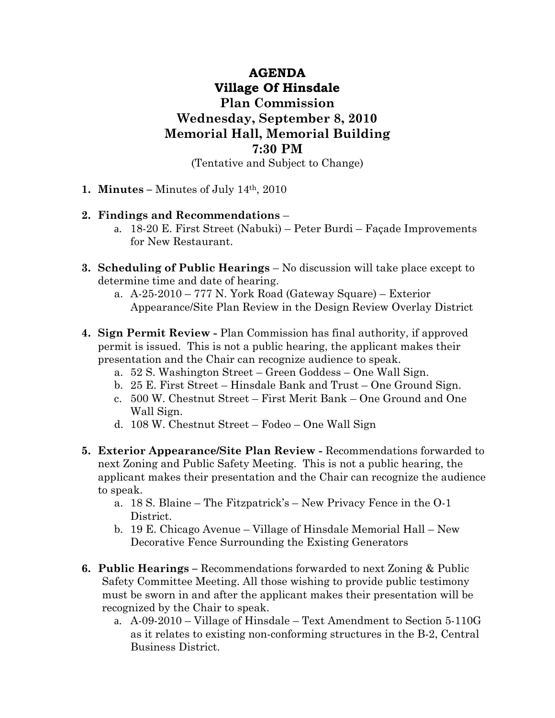## **AGENDA Village Of Hinsdale Plan Commission Wednesday, September 8, 2010 Memorial Hall, Memorial Building 7:30 PM**

(Tentative and Subject to Change)

**1. Minutes –** Minutes of July 14th, 2010

## **2. Findings and Recommendations** –

- a. 18-20 E. First Street (Nabuki) Peter Burdi Façade Improvements for New Restaurant.
- **3. Scheduling of Public Hearings** No discussion will take place except to determine time and date of hearing.
	- a. A-25-2010 777 N. York Road (Gateway Square) Exterior Appearance/Site Plan Review in the Design Review Overlay District
- **4. Sign Permit Review** Plan Commission has final authority, if approved permit is issued. This is not a public hearing, the applicant makes their presentation and the Chair can recognize audience to speak.
	- a. 52 S. Washington Street Green Goddess One Wall Sign.
	- b. 25 E. First Street Hinsdale Bank and Trust One Ground Sign.
	- c. 500 W. Chestnut Street First Merit Bank One Ground and One Wall Sign.
	- d. 108 W. Chestnut Street Fodeo One Wall Sign
- **5. Exterior Appearance/Site Plan Review** Recommendations forwarded to next Zoning and Public Safety Meeting. This is not a public hearing, the applicant makes their presentation and the Chair can recognize the audience to speak.
	- a. 18 S. Blaine The Fitzpatrick's New Privacy Fence in the O-1 District.
	- b. 19 E. Chicago Avenue Village of Hinsdale Memorial Hall New Decorative Fence Surrounding the Existing Generators
- **6. Public Hearings** Recommendations forwarded to next Zoning & Public Safety Committee Meeting. All those wishing to provide public testimony must be sworn in and after the applicant makes their presentation will be recognized by the Chair to speak.
	- a. A-09-2010 Village of Hinsdale Text Amendment to Section 5-110G as it relates to existing non-conforming structures in the B-2, Central Business District.